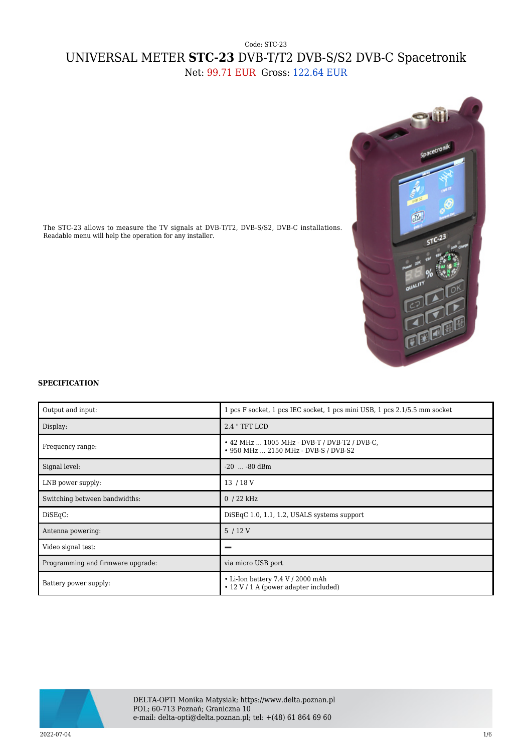## Code: STC-23 UNIVERSAL METER **STC-23** DVB-T/T2 DVB-S/S2 DVB-C Spacetronik Net: 99.71 EUR Gross: 122.64 EUR



The STC-23 allows to measure the TV signals at DVB-T/T2, DVB-S/S2, DVB-C installations. Readable menu will help the operation for any installer.

## **SPECIFICATION**

| Output and input:                 | 1 pcs F socket, 1 pcs IEC socket, 1 pcs mini USB, 1 pcs 2.1/5.5 mm socket            |
|-----------------------------------|--------------------------------------------------------------------------------------|
| Display:                          | 2.4 " TFT LCD                                                                        |
| Frequency range:                  | • 42 MHz  1005 MHz - DVB-T / DVB-T2 / DVB-C.<br>• 950 MHz  2150 MHz - DVB-S / DVB-S2 |
| Signal level:                     | $-20$ $-80$ dBm                                                                      |
| LNB power supply:                 | 13 / 18 V                                                                            |
| Switching between bandwidths:     | $0/22$ kHz                                                                           |
| DiSEqC:                           | DiSEqC 1.0, 1.1, 1.2, USALS systems support                                          |
| Antenna powering:                 | 5/12V                                                                                |
| Video signal test:                |                                                                                      |
| Programming and firmware upgrade: | via micro USB port                                                                   |
| Battery power supply:             | • Li-Ion battery 7.4 V / 2000 mAh<br>• 12 V / 1 A (power adapter included)           |



DELTA-OPTI Monika Matysiak; https://www.delta.poznan.pl POL; 60-713 Poznań; Graniczna 10 e-mail: delta-opti@delta.poznan.pl; tel: +(48) 61 864 69 60

 $2022-07-04$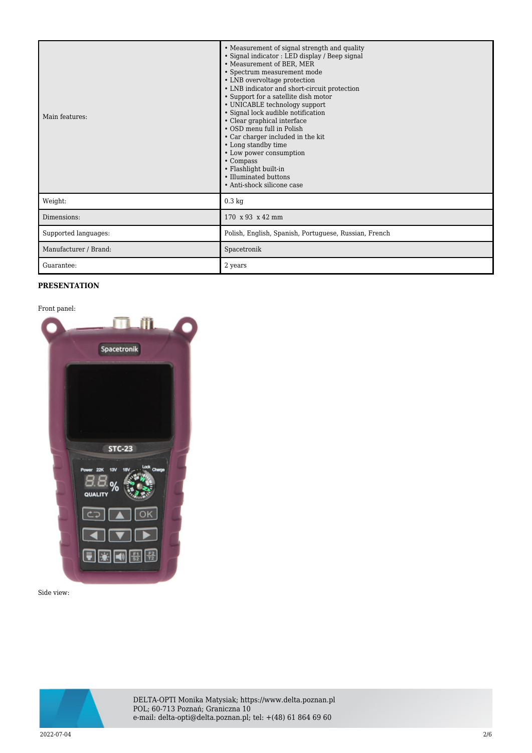| Main features:        | • Measurement of signal strength and quality<br>· Signal indicator : LED display / Beep signal<br>• Measurement of BER, MER<br>· Spectrum measurement mode<br>• LNB overvoltage protection<br>• LNB indicator and short-circuit protection<br>• Support for a satellite dish motor<br>• UNICABLE technology support<br>· Signal lock audible notification<br>• Clear graphical interface<br>• OSD menu full in Polish<br>• Car charger included in the kit<br>• Long standby time<br>• Low power consumption<br>• Compass<br>• Flashlight built-in<br>• Illuminated buttons<br>• Anti-shock silicone case |
|-----------------------|-----------------------------------------------------------------------------------------------------------------------------------------------------------------------------------------------------------------------------------------------------------------------------------------------------------------------------------------------------------------------------------------------------------------------------------------------------------------------------------------------------------------------------------------------------------------------------------------------------------|
| Weight:               | $0.3 \text{ kg}$                                                                                                                                                                                                                                                                                                                                                                                                                                                                                                                                                                                          |
| Dimensions:           | 170 x 93 x 42 mm                                                                                                                                                                                                                                                                                                                                                                                                                                                                                                                                                                                          |
| Supported languages:  | Polish, English, Spanish, Portuguese, Russian, French                                                                                                                                                                                                                                                                                                                                                                                                                                                                                                                                                     |
| Manufacturer / Brand: | Spacetronik                                                                                                                                                                                                                                                                                                                                                                                                                                                                                                                                                                                               |
| Guarantee:            | 2 years                                                                                                                                                                                                                                                                                                                                                                                                                                                                                                                                                                                                   |

## **PRESENTATION**



Side view:

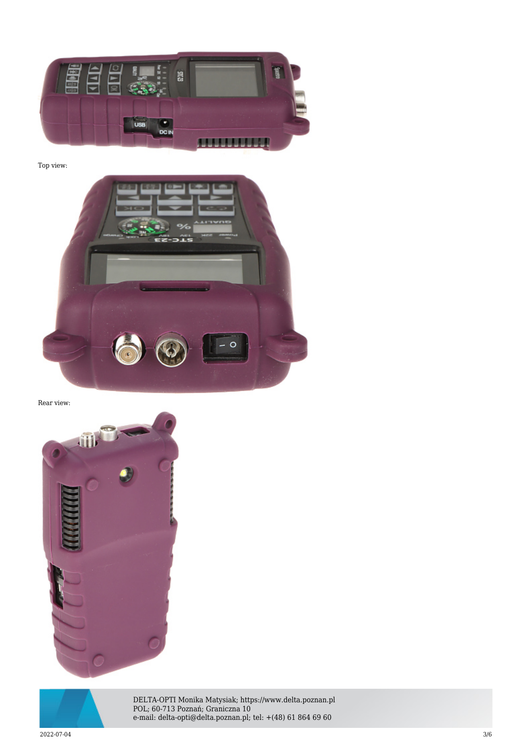

Top view:



Rear view:





DELTA-OPTI Monika Matysiak; https://www.delta.poznan.pl POL; 60-713 Poznań; Graniczna 10 e-mail: delta-opti@delta.poznan.pl; tel: +(48) 61 864 69 60

 $2022$ -07-04  $3/6$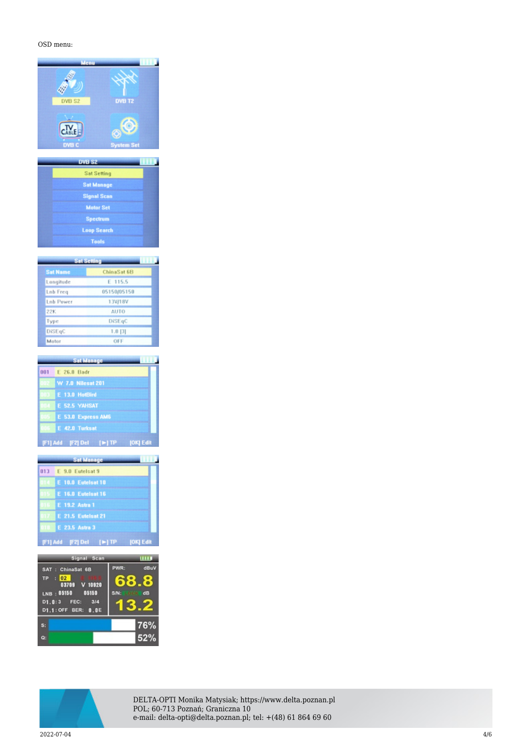## OSD menu:

| DVB S2                           | <b>DVB T2</b>     |
|----------------------------------|-------------------|
| $C_{\text{ABL}}$<br><b>DVB C</b> | <b>System Set</b> |

| <b>Sat Setting</b> |  |
|--------------------|--|
| <b>Sat Manage</b>  |  |
| <b>Signal Scan</b> |  |
| <b>Motor Set</b>   |  |
| <b>Spectrum</b>    |  |
| <b>Loop Search</b> |  |
| Tools              |  |

**TELEVIS** 

| Sat Setting      |             |  |  |  |
|------------------|-------------|--|--|--|
| <b>Sat Name</b>  | ChinaSat 6B |  |  |  |
| Longitude        | E 115.5     |  |  |  |
| <b>Lnb</b> Freq  | 05150/05150 |  |  |  |
| <b>Lnb Power</b> | 13V/18V     |  |  |  |
| 22K              | <b>AUTO</b> |  |  |  |
| Type             | DiSEqC      |  |  |  |
| DiSEqC           | $1.0$ [3]   |  |  |  |
| Motor            | OFF         |  |  |  |

|      | <b>Sat Manage</b>                            |
|------|----------------------------------------------|
| 001  | E 26.0 Badr                                  |
|      | 002 W 7.0 Nilesat 201                        |
| DU S | E 13.0 HotBird                               |
|      | E 52.5 YAHSAT                                |
|      | 05 E 53.0 Express AM6                        |
|      | E 42.0 Turksat                               |
|      | [F1] Add [F2] Del [►] TP<br><b>JOKI Edit</b> |

|     | <b>Sat Manage</b>                            |
|-----|----------------------------------------------|
| 013 | E 9.0 Eutelsat 9                             |
|     | E 10.0 Eutelsat 10                           |
|     | E 16.0 Eutelsat 16                           |
|     | E 19.2 Astra 1                               |
|     | E 21.5 Eutelsat 21                           |
|     | E 23.5 Astra 3                               |
|     | [F1] Add [F2] Del [▶] TP<br><b>JOKI Edit</b> |

| Signal Scan                                                                                                                           |                            |
|---------------------------------------------------------------------------------------------------------------------------------------|----------------------------|
| SAT : ChinaSat 6B<br>$\frac{1}{2}$ 02<br><b>TP</b><br>03709 V 10920<br>LNB : 05150 05150<br>D1.0:3 FEC:<br>3/4<br>D1.1: OFF BER: 0.0E | PWR:<br>dBuV<br>S/N:<br>dB |
| $s$ :<br>o.                                                                                                                           | 76%<br>52%                 |



DELTA-OPTI Monika Matysiak; https://www.delta.poznan.pl POL; 60-713 Poznań; Graniczna 10 e-mail: delta-opti@delta.poznan.pl; tel: +(48) 61 864 69 60

 $2022$ -07-04  $4/6$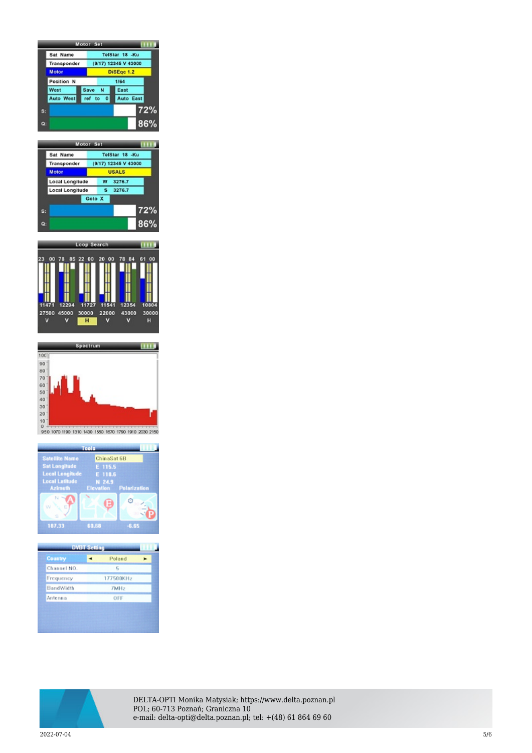|    |                  |  |                      | Motor Set         |           |           |     |
|----|------------------|--|----------------------|-------------------|-----------|-----------|-----|
|    | Sat Name         |  |                      | TelStar 18 -Ku    |           |           |     |
|    | Transponder      |  | (9/17) 12345 V 43000 |                   |           |           |     |
|    | Motor            |  |                      | <b>DiSEgc 1.2</b> |           |           |     |
|    | Position N       |  | 1/64                 |                   |           |           |     |
|    | West             |  |                      | Save N            |           | East      |     |
|    | <b>Auto West</b> |  | ref to               |                   | $\bullet$ | Auto East |     |
| S: |                  |  |                      |                   |           |           | 72% |
| Q: |                  |  |                      |                   |           |           | 86% |

|                | Motor Set       |        |   |                      |     |
|----------------|-----------------|--------|---|----------------------|-----|
|                | Sat Name        |        |   | TelStar 18 -Ku       |     |
|                | Transponder     |        |   | (9/17) 12345 V 43000 |     |
|                | Motor           |        |   | <b>USALS</b>         |     |
|                | Local Longitude |        | w | 3276.7               |     |
|                | Local Longitude |        | s | 3276.7               |     |
|                |                 | Goto X |   |                      |     |
| $s$ :          |                 |        |   |                      | 72% |
| $\mathbf{O}$ : |                 |        |   |                      | 86% |







| <b>Country</b><br>Channel NO. | Poland<br>r,     |  |
|-------------------------------|------------------|--|
| Frequency                     | 177500KHz        |  |
| BandWidth                     | 7MH <sub>2</sub> |  |
| Antenna                       | OFF              |  |



DELTA-OPTI Monika Matysiak; https://www.delta.poznan.pl POL; 60-713 Poznań; Graniczna 10 e-mail: delta-opti@delta.poznan.pl; tel: +(48) 61 864 69 60

 $2022$ -07-04  $5/6$